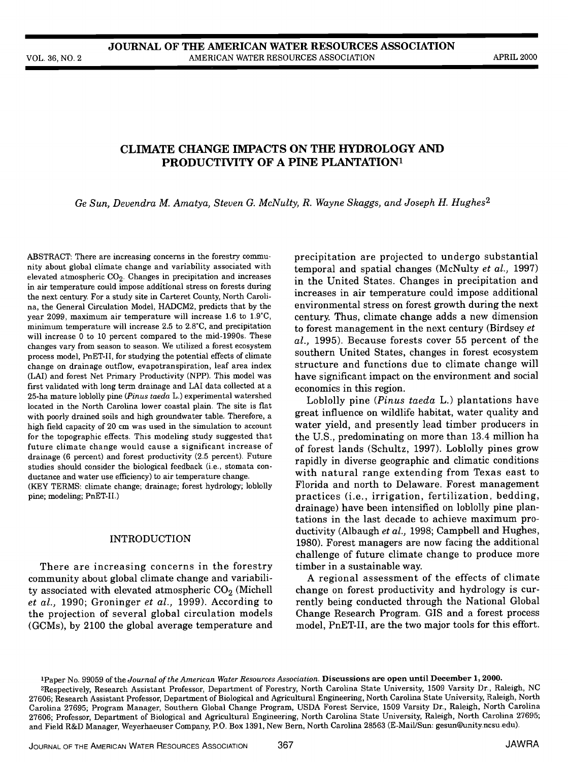# CLIMATE CHANGE IMPACTS ON THE HYDROLOGY AND PRODUCTIVITY OF A PINE PLANTATION<sup>1</sup>

Ge Sun, Devendra M. Amatya, Steven G. McNulty, R. Wayne Skaggs, and Joseph H. Hughes<sup>2</sup>

ABSTRACT: There are increasing concerns in the forestry community about global climate change and variability associated with elevated atmospheric  $CO<sub>2</sub>$ . Changes in precipitation and increases in air temperature could impose additional stress on forests during the next century. For a study site in Carteret County, North Carolina, the General Circulation Model, HADCM2, predicts that by the year 2099, maximum air temperature will increase 1.6 to 1.9°C, minimum temperature will increase 2.5 to 2.8°C, and precipitation will increase 0 to 10 percent compared to the mid-1990s. These changes vary from season to season. We utilized a forest ecosystem process model, PnET-II, for studying the potential effects of climate change on drainage outflow, evapotranspiration, leaf area index (LAI) and forest Net Primary Productivity (NPP). This model was first validated with long term drainage and LAI data collected at a 25-ha mature loblolly pine (Pinus taeda L.) experimental watershed located in the North Carolina lower coastal plain. The site is flat with poorly drained soils and high groundwater table. Therefore, a high field capacity of 20 cm was used in the simulation to account for the topographic effects. This modeling study suggested that future climate change would cause a significant increase of drainage (6 percent) and forest productivity (2.5 percent). Future studies should consider the biological feedback (i.e., stomata conductance and water use efficiency) to air temperature change.

(KEY TERMS: climate change; drainage; forest hydrology; loblolly pine; modeling; PnET-II.)

#### INTRODUCTION

There are increasing concerns in the forestry community about global climate change and variability associated with elevated atmospheric  $CO<sub>2</sub>$  (Michell et al., 1990; Groninger et al., 1999). According to the projection of several global circulation models (GCMs), by 2100 the global average temperature and

precipitation are projected to undergo substantial temporal and spatial changes (McNulty et al., 1997) in the United States. Changes in precipitation and increases in air temperature could impose additional environmental stress on forest growth during the next century. Thus, climate change adds a new dimension to forest management in the next century (Birdsey et al., 1995). Because forests cover 55 percent of the southern United States, changes in forest ecosystem structure and functions due to climate change will have significant impact on the environment and social economics in this region.

Loblolly pine (Pinus taeda L.) plantations have great influence on wildlife habitat, water quality and water yield, and presently lead timber producers in the U.S., predominating on more than 13.4 million ha of forest lands (Schultz, 1997). Loblolly pines grow rapidly in diverse geographic and climatic conditions with natural range extending from Texas east to Florida and north to Delaware. Forest management practices (i.e., irrigation, fertilization, bedding, drainage) have been intensified on loblolly pine plantations in the last decade to achieve maximum productivity (Albaugh et al., 1998; Campbell and Hughes, 1980). Forest managers are now facing the additional challenge of future climate change to produce more timber in a sustainable way.

A regional assessment of the effects of climate change on forest productivity and hydrology is currently being conducted through the National Global Change Research Program. GIS and a forest process model, PnET-II, are the two major tools for this effort.

JOURNAL OF THE AMERICAN WATER RESOURCES ASSOCIATION 367 JAWRA

iPaper No. 99059 of the Journal of the American Water Resources Association. Discussions are open until December 1, 2000.

<sup>2</sup>Respectively, Research Assistant Professor, Department of Forestry, North Carolina State University, 1509 Varsity Dr., Raleigh, NC 27606; Research Assistant Professor, Department of Biological and Agricultural Engineering, North Carolina State University, Raleigh, North Carolina 27695; Program Manager, Southern Global Change Program, USDA Forest Service, 1509 Varsity Dr., Raleigh, North Carolina 27606; Professor, Department of Biological and Agricultural Engineering, North Carolina State University, Raleigh, North Carolina 27695; and Field R&D Manager, Weyerhaeuser Company, P.O. Box 1391, New Bern, North Carolina 28563 (E-MaillSun: gesun@unity.ncsu.edu).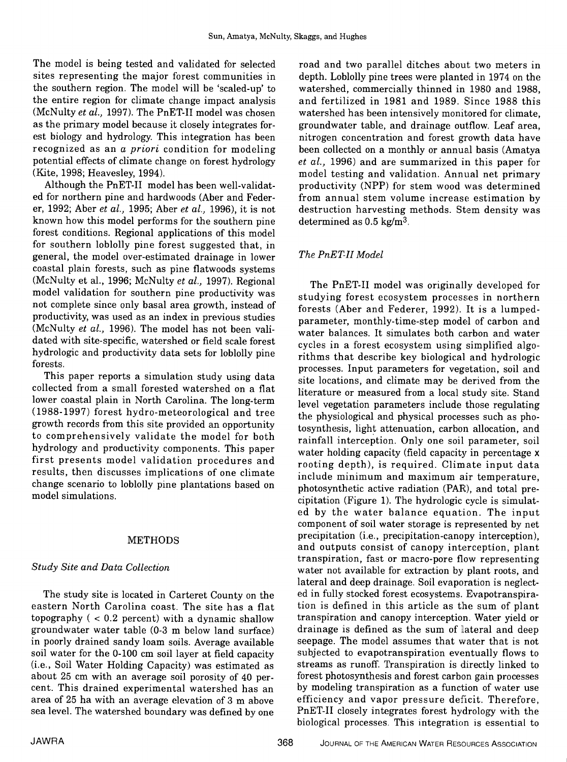The model is being tested and validated for selected sites representing the major forest communities in the southern region. The model will be 'scaled-up' to the entire region for climate change impact analysis (McNulty et al., 1997). The PnET-II model was chosen as the primary model because it closely integrates forest biology and hydrology. This integration has been recognized as an a priori condition for modeling potential effects of climate change on forest hydrology (Kite, 1998; Heavesley, 1994).

Although the PnET-II model has been well-validated for northern pine and hardwoods (Aber and Federer, 1992; Aber et al., 1995; Aber et al., 1996), it is not known how this model performs for the southern pine forest conditions. Regional applications of this model for southern loblolly pine forest suggested that, in general, the model over-estimated drainage in lower coastal plain forests, such as pine flatwoods systems (McNulty et al., 1996; McNulty et al., 1997). Regional model validation for southern pine productivity was not complete since only basal area growth, instead of productivity, was used as an index in previous studies (McNulty et al., 1996). The model has not been validated with site-specific, watershed or field scale forest exclusive in a forest ecosystem using simplified algohydrologic and productivity data sets for loblolly pine forests.

This paper reports a simulation study using data collected from a small forested watershed on a flat lower coastal plain in North Carolina. The long-term (1988-1997) forest hydro-meteorological and tree growth records from this site provided an opportunity to comprehensively validate the model for both hydrology and productivity components. This paper first presents model validation procedures and results, then discusses implications of one climate change scenario to loblolly pine plantations based on model simulations.

# METHODS

# Study Site and Data Collection

The study site is located in Carteret County on the eastern North Carolina coast. The site has a flat tion is defined in this article as the sum of plant<br>topography (< 0.2 percent) with a dynamic shallow transpiration and canopy interception. Water yield or topography ( < 0.2 percent) with a dynamic shallow groundwater water table (0-3 m below land surface) in poorly drained sandy loam soils. Average available soil water for the 0-100 cm soil layer at field capacity (i.e., Soil Water Holding Capacity) was estimated as about 25 cm with an average soil porosity of 40 percent. This drained experimental watershed has an by modeling transpiration as a function of water use<br>area of 25 ha with an average elevation of 3 m above efficiency and vapor pressure deficit. Therefore, area of 25 ha with an average elevation of 3 m above sea level. The watershed boundary was defined by one

road and two parallel ditches about two meters in depth. Loblolly pine trees were planted in 1974 on the watershed, commercially thinned in 1980 and 1988, and fertilized in 1981 and 1989. Since 1988 this watershed has been intensively monitored for climate, groundwater table, and drainage outflow. Leaf area, nitrogen concentration and forest growth data have been collected on a monthly or annual basis (Amatya et al., 1996) and are summarized in this paper for model testing and validation. Annual net primary productivity (NPP) for stem wood was determined from annual stem volume increase estimation by destruction harvesting methods. Stem density was determined as  $0.5 \text{ kg/m}^3$ .

# The PnET-II Model

The PnET-II model was originally developed for studying forest ecosystem processes in northern forests (Aber and Federer, 1992). It is a lumpedparameter, monthly-time-step model of carbon and water balances. It simulates both carbon and water rithms that describe key biological and hydrologic processes. Input parameters for vegetation, soil and site locations, and climate may be derived from the literature or measured from a local study site. Stand level vegetation parameters include those regulating the physiological and physical processes such as photosynthesis, light attenuation, carbon allocation, and rainfall interception. Only one soil parameter, soil water holding capacity (field capacity in percentage x rooting depth), is required. Climate input data include minimum and maximum air temperature, photosynthetic active radiation (PAR), and total precipitation (Figure 1). The hydrologic cycle is simulat- ed by the water balance equation. The input component of soil water storage is represented by net precipitation (i.e., precipitation-canopy interception), and outputs consist of canopy interception, plant transpiration, fast or macro-pore flow representing water not available for extraction by plant roots, and lateral and deep drainage. Soil evaporation is neglected in fully stocked forest ecosystems. Evapotranspiration is defined in this article as the sum of plant drainage is defined as the sum of lateral and deep seepage. The model assumes that water that is not subjected to evapotranspiration eventually flows to streams as runoff. Transpiration is directly linked to forest photosynthesis and forest carbon gain processes by modeling transpiration as a function of water use PnET-II closely integrates forest hydrology with the biological processes. This integration is essential to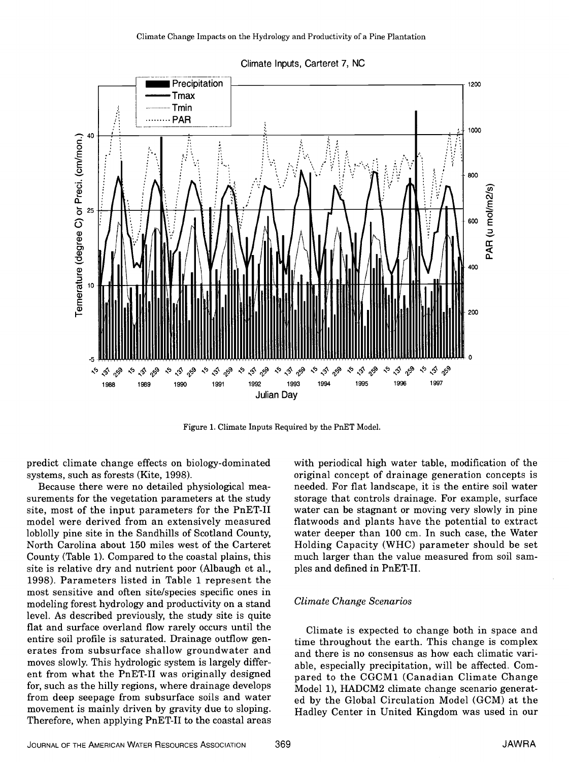

Climate Inputs, Carteret 7, NC

Figure 1. Climate Inputs Required by the PnET Model.

systems, such as forests (Kite, 1998).

Because there were no detailed physiological measurements for the vegetation parameters at the study site, most of the input parameters for the PnET-II model were derived from an extensively measured loblolly pine site in the Sandhills of Scotland County, North Carolina about 150 miles west of the Carteret County (Table 1). Compared to the coastal plains, this site is relative dry and nutrient poor (Albaugh et a!., 1998). Parameters listed in Table 1 represent the most sensitive and often site/species specific ones in modeling forest hydrology and productivity on a stand level. As described previously, the study site is quite flat and surface overland flow rarely occurs until the entire soil profile is saturated. Drainage outflow generates from subsurface shallow groundwater and moves slowly. This hydrologic system is largely different from what the PnET-II was originally designed for, such as the hilly regions, where drainage develops from deep seepage from subsurface soils and water movement is mainly driven by gravity due to sloping. Therefore, when applying PnET-II to the coastal areas

predict climate change effects on biology-dominated with periodical high water table, modification of the systems, such as forests (Kite, 1998). with periodical high water table, modification of the needed. For flat landscape, it is the entire soil water storage that controls drainage. For example, surface water can be stagnant or moving very slowly in pine flatwoods and plants have the potential to extract water deeper than 100 cm. In such case, the Water Holding Capacity (WHC) parameter should be set much larger than the value measured from soil samples and defined in PnET-II.

### Climate Change Scenarios

Climate is expected to change both in space and time throughout the earth. This change is complex and there is no consensus as how each climatic variable, especially precipitation, will be affected. Compared to the CGCM1 (Canadian Climate Change Model 1), HADCM2 climate change scenario generated by the Global Circulation Model (GCM) at the Hadley Center in United Kingdom was used in our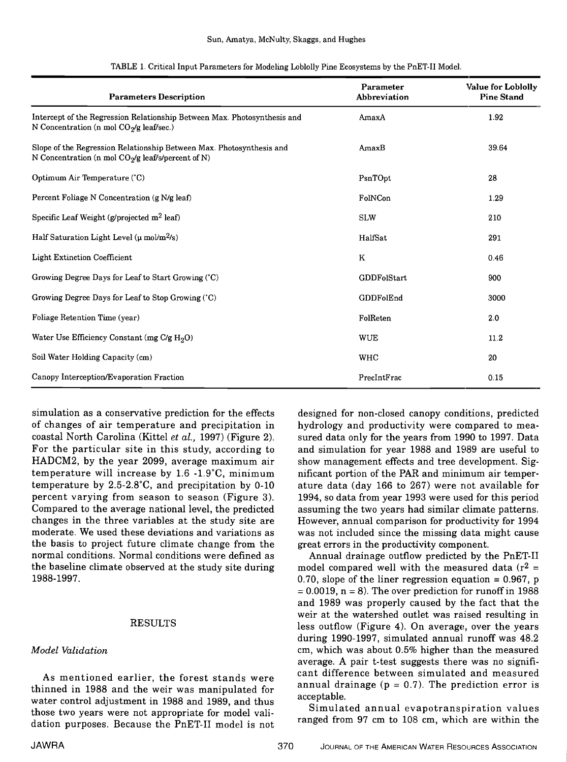| <b>Parameters Description</b>                                                                                                | Parameter<br>Abbreviation | <b>Value for Loblolly</b><br><b>Pine Stand</b> |
|------------------------------------------------------------------------------------------------------------------------------|---------------------------|------------------------------------------------|
| Intercept of the Regression Relationship Between Max. Photosynthesis and<br>N Concentration (n mol $CO_2/g$ leaf/sec.)       | AmaxA                     | 1.92                                           |
| Slope of the Regression Relationship Between Max. Photosynthesis and<br>N Concentration (n mol $CO_2/g$ leaf/s/percent of N) | AmaxB                     | 39.64                                          |
| Optimum Air Temperature (°C)                                                                                                 | PsnTOpt                   | 28                                             |
| Percent Foliage N Concentration (g N/g leaf)                                                                                 | FolNCon                   | 1.29                                           |
| Specific Leaf Weight (g/projected m <sup>2</sup> leaf)                                                                       | <b>SLW</b>                | 210                                            |
| Half Saturation Light Level ( $\mu$ mol/m <sup>2</sup> /s)                                                                   | HalfSat                   | 291                                            |
| <b>Light Extinction Coefficient</b>                                                                                          | K                         | 0.46                                           |
| Growing Degree Days for Leaf to Start Growing (°C)                                                                           | GDDFolStart               | 900                                            |
| Growing Degree Days for Leaf to Stop Growing (°C)                                                                            | GDDFolEnd                 | 3000                                           |
| Foliage Retention Time (year)                                                                                                | FolReten                  | 2.0                                            |
| Water Use Efficiency Constant (mg C/g $H_2O$ )                                                                               | <b>WUE</b>                | 11.2                                           |
| Soil Water Holding Capacity (cm)                                                                                             | <b>WHC</b>                | 20                                             |
| Canopy Interception/Evaporation Fraction                                                                                     | PrecIntFrac               | 0.15                                           |

TABLE 1. Critical Input Parameters for Modeling Loblolly Pine Ecosystems by the PnET-I1 Model.

of changes of air temperature and precipitation in coastal North Carolina (Kittel et al., 1997) (Figure 2). For the particular site in this study, according to HADCM2, by the year 2099, average maximum air temperature will increase by 1.6 -1.9°C, minimum temperature by 2.5-2.8°C, and precipitation by 0-10 percent varying from season to season (Figure 3). Compared to the average national level, the predicted changes in the three variables at the study site are moderate. We used these deviations and variations as the basis to project future climate change from the normal conditions. Normal conditions were defined as the baseline climate observed at the study site during 1988-1997.

## RESULTS

## Model Validation

As mentioned earlier, the forest stands were thinned in 1988 and the weir was manipulated for all use acceptable. water control adjustment in 1988 and 1989, and thus those two years were not appropriate for model validation purposes. Because the PnET-II model is not

simulation as a conservative prediction for the effects designed for non-closed canopy conditions, predicted hydrology and productivity were compared to measured data only for the years from 1990 to 1997. Data and simulation for year 1988 and 1989 are useful to show management effects and tree development. Significant portion of the PAR and minimum air temperature data (day 166 to 267) were not available for 1994, so data from year 1993 were used for this period assuming the two years had similar climate patterns. However, annual comparison for productivity for 1994 was not included since the missing data might cause great errors in the productivity component.

> Annual drainage outflow predicted by the PnET-II model compared well with the measured data ( $r^2$  = 0.70, slope of the liner regression equation = 0.967, p = 0.0019, n = 8). The over prediction for runoff in 1988 and 1989 was properly caused by the fact that the weir at the watershed outlet was raised resulting in less outflow (Figure 4). On average, over the years during 1990-1997, simulated annual. runoff was 48.2 cm, which was about 0.5% higher than the measured average. A pair t-test suggests there was no significant difference between simulated and measured annual drainage ( $p = 0.7$ ). The prediction error is

> Simulated annual evapotranspiration values ranged from 97 cm to 108 cm, which are within the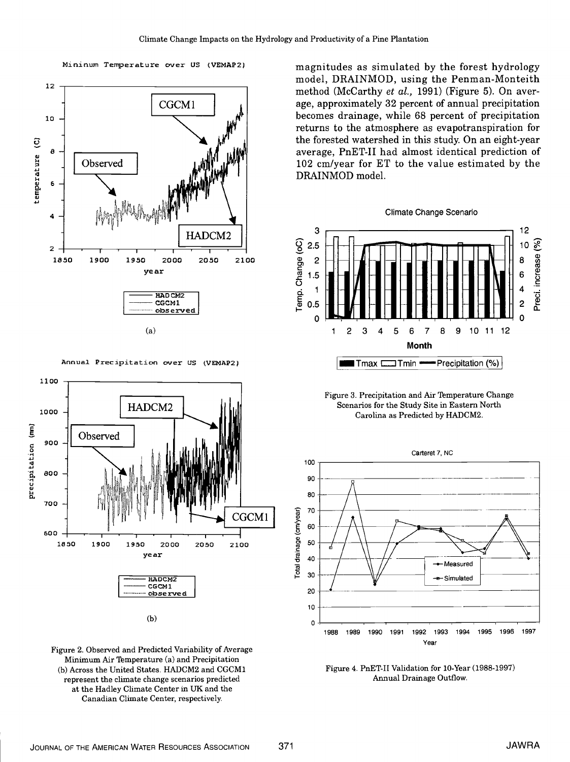





Mininum Temperature over US (VEMAP2) magnitudes as simulated by the forest hydrology model, DRAINMOD, using the Penman-Monteith method (McCarthy et al., 1991) (Figure 5). On aver-<br>age, approximately 32 percent of annual precipitation becomes drainage, while 68 percent of precipitation returns to the atmosphere as evapotranspiration for the forested watershed in this study. On an eight-year average, PnET-II had almost identical prediction of 102 cm/year for ET to the value estimated by the DRAINMOD model.





Figure 3. Precipitation and Air Temperature Change Scenarios for the Study Site in Eastern North Carolina as Predicted by HADCM2.



Figure 4. PnET-II Validation for 10-Year (1988-1997) Annual Drainage Outflow.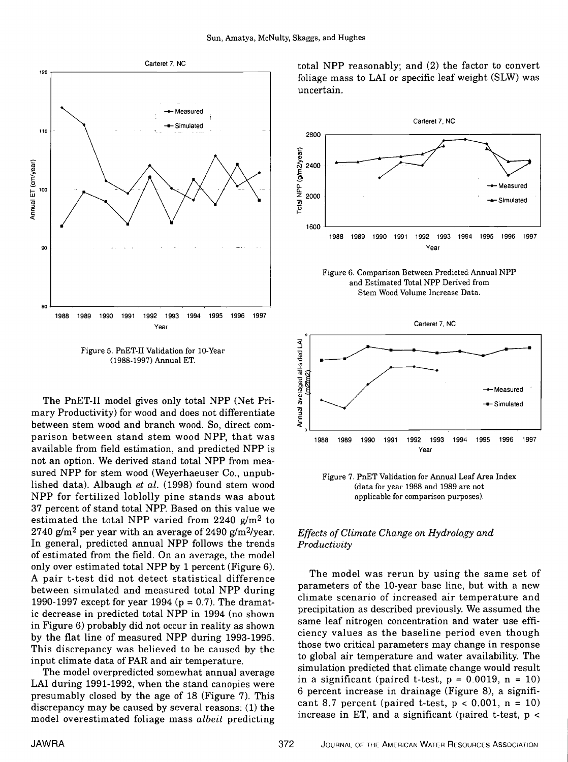

Figure 5. PnET-II Validation for 10-Year (1988-1997) Annual ET.

The PnET-II model gives only total NPP (Net Primary Productivity) for wood and does not differentiate between stem wood and branch wood. So, direct comparison between stand stem wood NPP, that was available from field estimation, and predicted NPP is not an option. We derived stand total NPP from measured NPP for stem wood (Weyerhaeuser Co., unpublished data). Albaugh et al. (1998) found stem wood NPP for fertilized loblolly pine stands was about 37 percent of stand total NPP. Based on this value we estimated the total NPP varied from 2240 g/m2 to 2740 g/m<sup>2</sup> per year with an average of 2490 g/m<sup>2</sup>/year. In general, predicted annual NPP follows the trends of estimated from the field. On an average, the model only over estimated total NPP by 1 percent (Figure 6). A pair t-test did not detect statistical difference between simulated and measured total NPP during 1990-1997 except for year 1994 ( $p = 0.7$ ). The dramatic decrease in predicted total NPP in 1994 (no shown in Figure 6) probably did not occur in reality as shown by the flat line of measured NPP during 1993-1995. This discrepancy was believed to be caused by the input climate data of PAR and air temperature.

The model overpredicted somewhat annual average LAI during 1991-1992, when the stand canopies were presumably closed by the age of 18 (Figure 7). This discrepancy may be caused by several reasons: (1) the model overestimated foliage mass albeit predicting

Carteret 7, NC total NPP reasonably; and  $(2)$  the factor to convert foliage mass to LAI or specific leaf weight (SLW) was uncertain.



Figure 6. Comparison Between Predicted Annual NPP and Estimated Total NPP Derived from Stem Wood Volume Increase Data.



Figure 7. PnET Validation for Annual Leaf Area Index (data for year 1988 and 1989 are not applicable for comparison purposes).

## Effects of Climate Change on Hydrology and Productivity

The model was rerun by using the same set of parameters of the 10-year base line, but with a new climate scenario of increased air temperature and precipitation as described previously. We assumed the same leaf nitrogen concentration and water use efficiency values as the baseline period even though those two critical parameters may change in response to global air temperature and water availability. The simulation predicted that climate change would result in a significant (paired t-test,  $p = 0.0019$ ,  $n = 10$ ) 6 percent increase in drainage (Figure 8), a significant 8.7 percent (paired t-test,  $p < 0.001$ ,  $n = 10$ ) increase in ET, and a significant (paired t-test, p <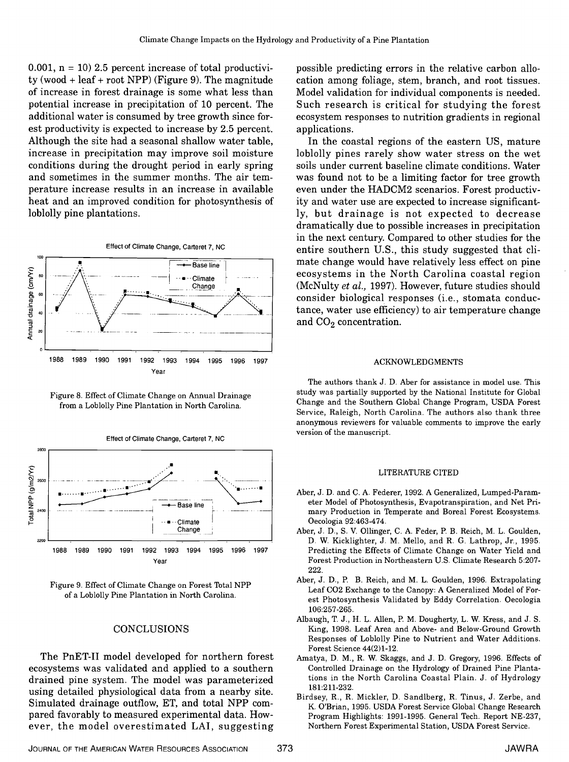0.001,  $n = 10$ ) 2.5 percent increase of total productivity (wood + leaf + root NPP) (Figure 9). The magnitude of increase in forest drainage is some what less than potential increase in precipitation of 10 percent. The additional water is consumed by tree growth since forest productivity is expected to increase by 2.5 percent. Although the site had a seasonal shallow water table, increase in precipitation may improve soil moisture conditions during the drought period in early spring and sometimes in the summer months. The air temperature increase results in an increase in available heat and an improved condition for photosynthesis of loblolly pine plantations.





Figure 8. Effect of Climate Change on Annual Drainage from a Loblolly Pine Plantation in North Carolina.



Figure 9. Effect of Climate Change on Forest Total NPP of a Loblolly Pine Plantation in North Carolina.

### CONCLUSIONS

The PnET-II model developed for northern forest ecosystems was validated and applied to a southern drained pine system. The model was parameterized using detailed physiological data from a nearby site. Simulated drainage outflow, ET, and total NPP compared favorably to measured experimental data. However, the model overestimated LAI, suggesting possible predicting errors in the relative carbon allocation among foliage, stem, branch, and root tissues. Model validation for individual components is needed. Such research is critical for studying the forest ecosystem responses to nutrition gradients in regional applications

In the coastal regions of the eastern US, mature loblolly pines rarely show water stress on the wet soils under current baseline climate conditions. Water was found not to be a limiting factor for tree growth even under the HADCM2 scenarios. Forest productivity and water use are expected to increase significant- ly, but drainage is not expected to decrease dramatically due to possible increases in precipitation in the next century. Compared to other studies for the entire southern U.S., this study suggested that climate change would have relatively less effect on pine ecosystems in the North Carolina coastal region (McNulty et al., 1997). However, future studies should consider biological responses (i.e., stomata conductance, water use efficiency) to air temperature change and  $CO<sub>2</sub>$  concentration.

#### ACKNOWLEDGMENTS

The authors thank J. D. Aber for assistance in model use. This study was partially supported by the National Institute for Global Change and the Southern Global Change Program, USDA Forest Service, Raleigh, North Carolina. The authors also thank three anonymous reviewers for valuable comments to improve the early version of the manuscript.

#### LITERATURE CITED

- Aber, J. D. and C. A. Federer, 1992. A Generalized, Lumped-Parameter Model of Photosynthesis, Evapotranspiration, and Net Primary Production in Temperate and Boreal Forest Ecosystems. Oecologia 92:463-474.
- Aber, J. D., S. V. Ollinger, C. A. Feder, P. B. Reich, M. L. Goulden, D. W. Kicklighter, J. M. Mello, and R. G. Lathrop, Jr., 1995. Predicting the Effects of Climate Change on Water Yield and Forest Production in Northeastern U.S. Climate Research 5:207- 222.
- Aber, J. D., P. B. Reich, and M. L. Goulden, 1996. Extrapolating Leaf C02 Exchange to the Canopy: A Generalized Model of Forest Photosynthesis Validated by Eddy Correlation. Oecologia 106:257-265.
- Albaugh, T. J., H. L. Allen, P. M. Dougherty, L. W. Kress, and J. S. King, 1998. Leaf Area and Above- and Below-Ground Growth Responses of Loblolly Pine to Nutrient and Water Additions. Forest Science 44(2)1-12.
- Amatya, D. M., R. W. Skaggs, and J. D. Gregory, 1996. Effects of Controlled Drainage on the Hydrology of Drained Pine Plantations in the North Carolina Coastal Plain. J. of Hydrology 181:211-232.
- Birdsey, R., R. Mickler, D. Sandlberg, R. Tinus, J. Zerbe, and K. O'Brian, 1995. USDA Forest Service Global Change Research Program Highlights: 1991-1995. General Tech. Report NE-237, Northern Forest Experimental Station, USDA Forest Service.